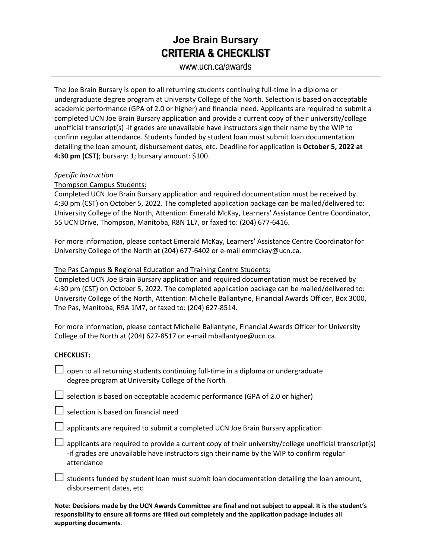## **Joe Brain Bursary CRITERIA & CHECKLIST**

www.ucn.ca/awards

The Joe Brain Bursary is open to all returning students continuing full-time in a diploma or undergraduate degree program at University College of the North. Selection is based on acceptable academic performance (GPA of 2.0 or higher) and financial need. Applicants are required to submit a completed UCN Joe Brain Bursary application and provide a current copy of their university/college unofficial transcript(s) -if grades are unavailable have instructors sign their name by the WIP to confirm regular attendance. Students funded by student loan must submit loan documentation detailing the loan amount, disbursement dates, etc. Deadline for application is **October 5, 2022 at 4:30 pm (CST)**; bursary: 1; bursary amount: \$100.

### *Specific Instruction*

Thompson Campus Students:

Completed UCN Joe Brain Bursary application and required documentation must be received by 4:30 pm (CST) on October 5, 2022. The completed application package can be mailed/delivered to: University College of the North, Attention: Emerald McKay, Learners' Assistance Centre Coordinator, 55 UCN Drive, Thompson, Manitoba, R8N 1L7, or faxed to: (204) 677-6416.

For more information, please contact Emerald McKay, Learners' Assistance Centre Coordinator for University College of the North at (204) 677-6402 or e-mail emmckay@ucn.ca.

#### The Pas Campus & Regional Education and Training Centre Students:

Completed UCN Joe Brain Bursary application and required documentation must be received by 4:30 pm (CST) on October 5, 2022. The completed application package can be mailed/delivered to: University College of the North, Attention: Michelle Ballantyne, Financial Awards Officer, Box 3000, The Pas, Manitoba, R9A 1M7, or faxed to: (204) 627-8514.

For more information, please contact Michelle Ballantyne, Financial Awards Officer for University College of the North at (204) 627-8517 or e-mail mballantyne@ucn.ca.

#### **CHECKLIST:**

 $\Box$  open to all returning students continuing full-time in a diploma or undergraduate degree program at University College of the North

 $\Box$  selection is based on acceptable academic performance (GPA of 2.0 or higher)

 $\Box$  selection is based on financial need

 $\Box$  applicants are required to submit a completed UCN Joe Brain Bursary application

 $\Box$  applicants are required to provide a current copy of their university/college unofficial transcript(s) -if grades are unavailable have instructors sign their name by the WIP to confirm regular attendance

 $\Box$  students funded by student loan must submit loan documentation detailing the loan amount, disbursement dates, etc.

**Note: Decisions made by the UCN Awards Committee are final and not subject to appeal. It is the student's responsibility to ensure all forms are filled out completely and the application package includes all supporting documents**.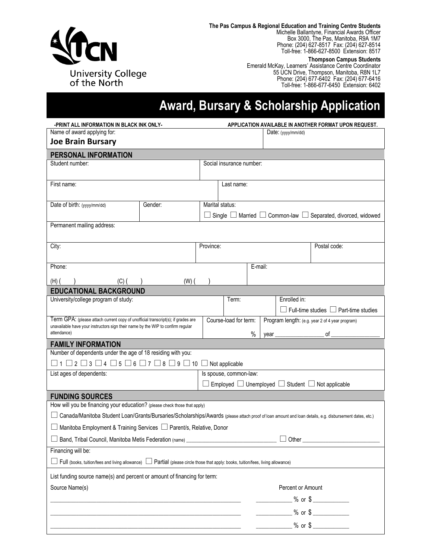

**The Pas Campus & Regional Education and Training Centre Students** Michelle Ballantyne, Financial Awards Officer Box 3000, The Pas, Manitoba, R9A 1M7 Phone: (204) 627-8517 Fax: (204) 627-8514

#### **Thompson Campus Students**

Toll-free: 1-866-627-8500 Extension: 8517

Emerald McKay, Learners' Assistance Centre Coordinator 55 UCN Drive, Thompson, Manitoba, R8N 1L7 Phone: (204) 677-6402 Fax: (204) 677-6416 Toll-free: 1-866-677-6450 Extension: 6402

# **Award, Bursary & Scholarship Application**

| -PRINT ALL INFORMATION IN BLACK INK ONLY-                                                                                                                           |         |           | APPLICATION AVAILABLE IN ANOTHER FORMAT UPON REQUEST. |         |                                                                 |                                                                             |  |
|---------------------------------------------------------------------------------------------------------------------------------------------------------------------|---------|-----------|-------------------------------------------------------|---------|-----------------------------------------------------------------|-----------------------------------------------------------------------------|--|
| Name of award applying for:                                                                                                                                         |         |           |                                                       |         | Date: $(yyy/mm/dd)$                                             |                                                                             |  |
| <b>Joe Brain Bursary</b>                                                                                                                                            |         |           |                                                       |         |                                                                 |                                                                             |  |
| PERSONAL INFORMATION                                                                                                                                                |         |           |                                                       |         |                                                                 |                                                                             |  |
| Student number:                                                                                                                                                     |         |           | Social insurance number:                              |         |                                                                 |                                                                             |  |
| First name:                                                                                                                                                         |         |           | Last name:                                            |         |                                                                 |                                                                             |  |
| Date of birth: (yyyy/mm/dd)                                                                                                                                         | Gender: |           | Marital status:                                       |         |                                                                 |                                                                             |  |
|                                                                                                                                                                     |         |           |                                                       |         |                                                                 | Single $\Box$ Married $\Box$ Common-law $\Box$ Separated, divorced, widowed |  |
| Permanent mailing address:                                                                                                                                          |         |           |                                                       |         |                                                                 |                                                                             |  |
|                                                                                                                                                                     |         |           |                                                       |         |                                                                 |                                                                             |  |
| City:                                                                                                                                                               |         | Province: |                                                       |         |                                                                 | Postal code:                                                                |  |
| Phone:                                                                                                                                                              |         |           |                                                       | E-mail: |                                                                 |                                                                             |  |
| $(H)$ (<br>(C) (                                                                                                                                                    | $(W)$ ( |           |                                                       |         |                                                                 |                                                                             |  |
| <b>EDUCATIONAL BACKGROUND</b>                                                                                                                                       |         |           |                                                       |         |                                                                 |                                                                             |  |
| University/college program of study:                                                                                                                                |         |           | Term:                                                 |         | Enrolled in:                                                    |                                                                             |  |
|                                                                                                                                                                     |         |           |                                                       |         |                                                                 | $\Box$ Full-time studies $\Box$ Part-time studies                           |  |
| Term GPA: (please attach current copy of unofficial transcript(s); if grades are<br>unavailable have your instructors sign their name by the WIP to confirm regular |         |           | Course-load for term:                                 |         |                                                                 | Program length: (e.g. year 2 of 4 year program)                             |  |
| attendance)                                                                                                                                                         |         |           |                                                       | %       | year                                                            | of                                                                          |  |
| <b>FAMILY INFORMATION</b>                                                                                                                                           |         |           |                                                       |         |                                                                 |                                                                             |  |
| Number of dependents under the age of 18 residing with you:                                                                                                         |         |           |                                                       |         |                                                                 |                                                                             |  |
| $\Box$ 1 $\Box$ 2 $\Box$ 3 $\Box$ 4 $\Box$ 5 $\Box$ 6 $\Box$ 7 $\Box$ 8 $\Box$ 9 $\Box$ 10 $\Box$ Not applicable                                                    |         |           |                                                       |         |                                                                 |                                                                             |  |
| List ages of dependents:                                                                                                                                            |         |           | Is spouse, common-law:                                |         |                                                                 |                                                                             |  |
|                                                                                                                                                                     |         |           |                                                       |         | Employed $\Box$ Unemployed $\Box$ Student $\Box$ Not applicable |                                                                             |  |
| <b>FUNDING SOURCES</b>                                                                                                                                              |         |           |                                                       |         |                                                                 |                                                                             |  |
| How will you be financing your education? (please check those that apply)                                                                                           |         |           |                                                       |         |                                                                 |                                                                             |  |
|                                                                                                                                                                     |         |           |                                                       |         |                                                                 |                                                                             |  |
| Canada/Manitoba Student Loan/Grants/Bursaries/Scholarships/Awards (please attach proof of loan amount and loan details, e.g. disbursement dates, etc.)              |         |           |                                                       |         |                                                                 |                                                                             |  |
| □ Manitoba Employment & Training Services □ Parent/s, Relative, Donor                                                                                               |         |           |                                                       |         |                                                                 |                                                                             |  |
| $\Box$ Band, Tribal Council, Manitoba Metis Federation (name)                                                                                                       |         |           |                                                       |         | $\Box$ Other $\_$                                               |                                                                             |  |
| Financing will be:                                                                                                                                                  |         |           |                                                       |         |                                                                 |                                                                             |  |
| $\Box$ Full (books, tuition/fees and living allowance) $\Box$ Partial (please circle those that apply: books, tuition/fees, living allowance)                       |         |           |                                                       |         |                                                                 |                                                                             |  |
| List funding source name(s) and percent or amount of financing for term:                                                                                            |         |           |                                                       |         |                                                                 |                                                                             |  |
| Source Name(s)                                                                                                                                                      |         |           |                                                       |         | Percent or Amount                                               |                                                                             |  |
|                                                                                                                                                                     |         |           |                                                       |         |                                                                 |                                                                             |  |
|                                                                                                                                                                     |         |           |                                                       |         | $\frac{9}{6}$ or \$                                             |                                                                             |  |
|                                                                                                                                                                     |         |           |                                                       |         |                                                                 |                                                                             |  |